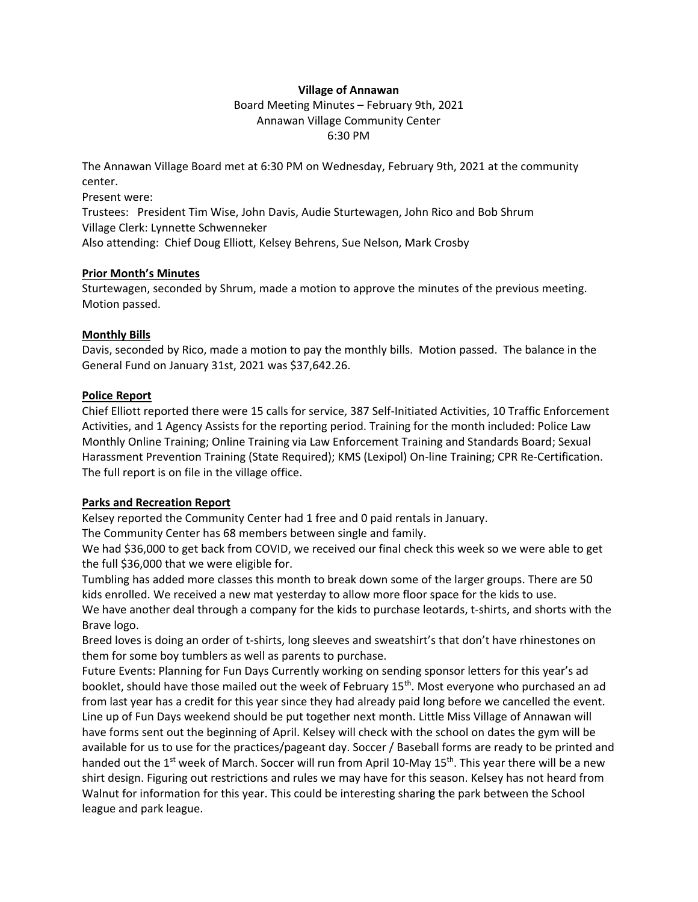# **Village of Annawan**

Board Meeting Minutes – February 9th, 2021 Annawan Village Community Center 6:30 PM

The Annawan Village Board met at 6:30 PM on Wednesday, February 9th, 2021 at the community center.

Present were:

Trustees: President Tim Wise, John Davis, Audie Sturtewagen, John Rico and Bob Shrum Village Clerk: Lynnette Schwenneker

Also attending: Chief Doug Elliott, Kelsey Behrens, Sue Nelson, Mark Crosby

### **Prior Month's Minutes**

Sturtewagen, seconded by Shrum, made a motion to approve the minutes of the previous meeting. Motion passed.

# **Monthly Bills**

Davis, seconded by Rico, made a motion to pay the monthly bills. Motion passed. The balance in the General Fund on January 31st, 2021 was \$37,642.26.

### **Police Report**

Chief Elliott reported there were 15 calls for service, 387 Self-Initiated Activities, 10 Traffic Enforcement Activities, and 1 Agency Assists for the reporting period. Training for the month included: Police Law Monthly Online Training; Online Training via Law Enforcement Training and Standards Board; Sexual Harassment Prevention Training (State Required); KMS (Lexipol) On-line Training; CPR Re-Certification. The full report is on file in the village office.

# **Parks and Recreation Report**

Kelsey reported the Community Center had 1 free and 0 paid rentals in January.

The Community Center has 68 members between single and family.

We had \$36,000 to get back from COVID, we received our final check this week so we were able to get the full \$36,000 that we were eligible for.

Tumbling has added more classes this month to break down some of the larger groups. There are 50 kids enrolled. We received a new mat yesterday to allow more floor space for the kids to use. We have another deal through a company for the kids to purchase leotards, t-shirts, and shorts with the Brave logo.

Breed loves is doing an order of t-shirts, long sleeves and sweatshirt's that don't have rhinestones on them for some boy tumblers as well as parents to purchase.

Future Events: Planning for Fun Days Currently working on sending sponsor letters for this year's ad booklet, should have those mailed out the week of February  $15<sup>th</sup>$ . Most everyone who purchased an ad from last year has a credit for this year since they had already paid long before we cancelled the event. Line up of Fun Days weekend should be put together next month. Little Miss Village of Annawan will have forms sent out the beginning of April. Kelsey will check with the school on dates the gym will be available for us to use for the practices/pageant day. Soccer / Baseball forms are ready to be printed and handed out the 1<sup>st</sup> week of March. Soccer will run from April 10-May 15<sup>th</sup>. This year there will be a new shirt design. Figuring out restrictions and rules we may have for this season. Kelsey has not heard from Walnut for information for this year. This could be interesting sharing the park between the School league and park league.